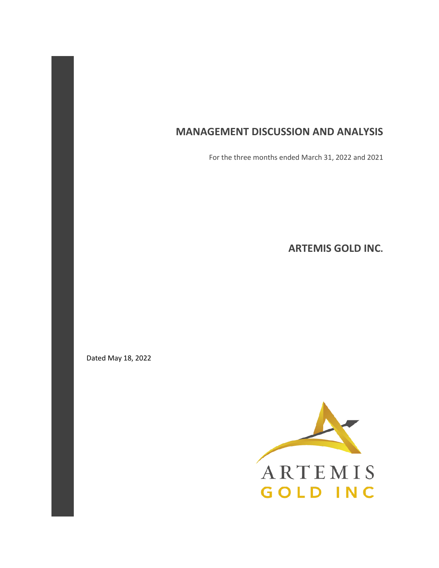# **MANAGEMENT DISCUSSION AND ANALYSIS**

For the three months ended March 31, 2022 and 2021

**ARTEMIS GOLD INC.** 

Dated May 18, 2022

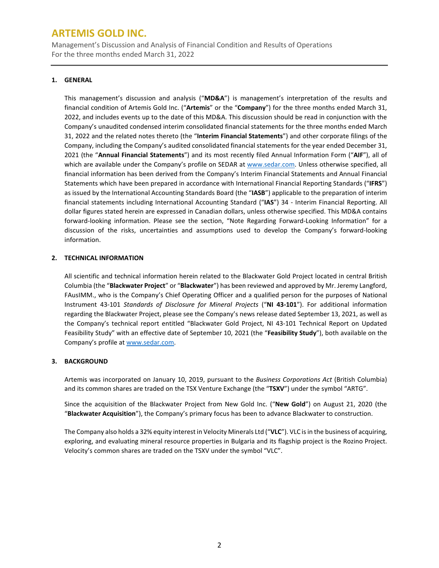Management's Discussion and Analysis of Financial Condition and Results of Operations For the three months ended March 31, 2022

### **1. GENERAL**

This management's discussion and analysis ("**MD&A**") is management's interpretation of the results and financial condition of Artemis Gold Inc. ("**Artemis**" or the "**Company**") for the three months ended March 31, 2022, and includes events up to the date of this MD&A. This discussion should be read in conjunction with the Company's unaudited condensed interim consolidated financial statements for the three months ended March 31, 2022 and the related notes thereto (the "**Interim Financial Statements**") and other corporate filings of the Company, including the Company's audited consolidated financial statements for the year ended December 31, 2021 (the "**Annual Financial Statements**") and its most recently filed Annual Information Form ("**AIF**"), all of which are available under the Company's profile on SEDAR at [www.sedar.com.](http://www.sedar.com/) Unless otherwise specified, all financial information has been derived from the Company's Interim Financial Statements and Annual Financial Statements which have been prepared in accordance with International Financial Reporting Standards ("**IFRS**") as issued by the International Accounting Standards Board (the "**IASB**") applicable to the preparation of interim financial statements including International Accounting Standard ("**IAS**") 34 - Interim Financial Reporting. All dollar figures stated herein are expressed in Canadian dollars, unless otherwise specified. This MD&A contains forward-looking information. Please see the section, "Note Regarding Forward-Looking Information" for a discussion of the risks, uncertainties and assumptions used to develop the Company's forward-looking information.

### **2. TECHNICAL INFORMATION**

All scientific and technical information herein related to the Blackwater Gold Project located in central British Columbia (the "**Blackwater Project**" or "**Blackwater**") has been reviewed and approved by Mr. Jeremy Langford, FAusIMM., who is the Company's Chief Operating Officer and a qualified person for the purposes of National Instrument 43-101 *Standards of Disclosure for Mineral Projects* ("**NI 43-101**"). For additional information regarding the Blackwater Project, please see the Company's news release dated September 13, 2021, as well as the Company's technical report entitled "Blackwater Gold Project, NI 43-101 Technical Report on Updated Feasibility Study" with an effective date of September 10, 2021 (the "**Feasibility Study**"), both available on the Company's profile a[t www.sedar.com.](http://www.sedar.com/)

### **3. BACKGROUND**

Artemis was incorporated on January 10, 2019, pursuant to the *Business Corporations Act* (British Columbia) and its common shares are traded on the TSX Venture Exchange (the "**TSXV**") under the symbol "ARTG".

Since the acquisition of the Blackwater Project from New Gold Inc. ("**New Gold**") on August 21, 2020 (the "**Blackwater Acquisition**"), the Company's primary focus has been to advance Blackwater to construction.

The Company also holds a 32% equity interest in Velocity Minerals Ltd ("**VLC**"). VLC is in the business of acquiring, exploring, and evaluating mineral resource properties in Bulgaria and its flagship project is the Rozino Project. Velocity's common shares are traded on the TSXV under the symbol "VLC".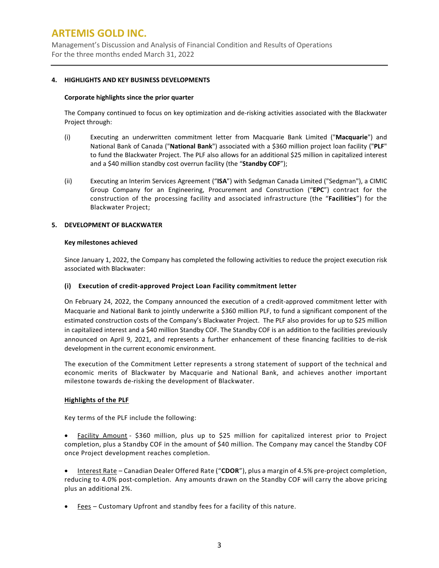Management's Discussion and Analysis of Financial Condition and Results of Operations For the three months ended March 31, 2022

#### **4. HIGHLIGHTS AND KEY BUSINESS DEVELOPMENTS**

#### **Corporate highlights since the prior quarter**

The Company continued to focus on key optimization and de-risking activities associated with the Blackwater Project through:

- (i) Executing an underwritten commitment letter from Macquarie Bank Limited ("**Macquarie**") and National Bank of Canada ("**National Bank**") associated with a \$360 million project loan facility ("**PLF**" to fund the Blackwater Project. The PLF also allows for an additional \$25 million in capitalized interest and a \$40 million standby cost overrun facility (the "**Standby COF**");
- (ii) Executing an Interim Services Agreement ("**ISA**") with Sedgman Canada Limited ("Sedgman"), a CIMIC Group Company for an Engineering, Procurement and Construction ("**EPC**") contract for the construction of the processing facility and associated infrastructure (the "**Facilities**") for the Blackwater Project;

### **5. DEVELOPMENT OF BLACKWATER**

#### **Key milestones achieved**

Since January 1, 2022, the Company has completed the following activities to reduce the project execution risk associated with Blackwater:

### **(i) Execution of credit-approved Project Loan Facility commitment letter**

On February 24, 2022, the Company announced the execution of a credit-approved commitment letter with Macquarie and National Bank to jointly underwrite a \$360 million PLF, to fund a significant component of the estimated construction costs of the Company's Blackwater Project. The PLF also provides for up to \$25 million in capitalized interest and a \$40 million Standby COF. The Standby COF is an addition to the facilities previously announced on April 9, 2021, and represents a further enhancement of these financing facilities to de-risk development in the current economic environment.

The execution of the Commitment Letter represents a strong statement of support of the technical and economic merits of Blackwater by Macquarie and National Bank, and achieves another important milestone towards de-risking the development of Blackwater.

### **Highlights of the PLF**

Key terms of the PLF include the following:

• Facility Amount - \$360 million, plus up to \$25 million for capitalized interest prior to Project completion, plus a Standby COF in the amount of \$40 million. The Company may cancel the Standby COF once Project development reaches completion.

• Interest Rate – Canadian Dealer Offered Rate ("**CDOR**"), plus a margin of 4.5% pre-project completion, reducing to 4.0% post-completion. Any amounts drawn on the Standby COF will carry the above pricing plus an additional 2%.

• Fees – Customary Upfront and standby fees for a facility of this nature.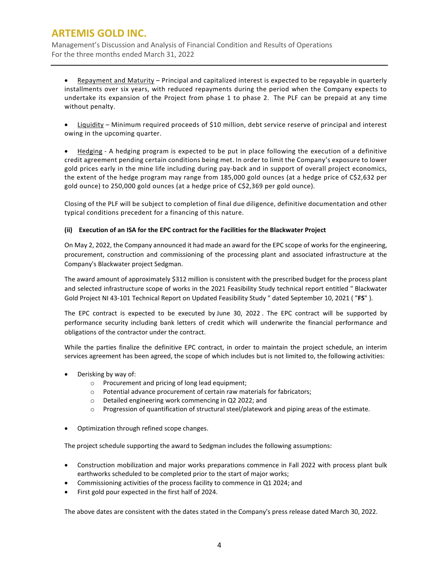Management's Discussion and Analysis of Financial Condition and Results of Operations For the three months ended March 31, 2022

• Repayment and Maturity – Principal and capitalized interest is expected to be repayable in quarterly installments over six years, with reduced repayments during the period when the Company expects to undertake its expansion of the Project from phase 1 to phase 2. The PLF can be prepaid at any time without penalty.

• Liquidity – Minimum required proceeds of \$10 million, debt service reserve of principal and interest owing in the upcoming quarter.

• Hedging - A hedging program is expected to be put in place following the execution of a definitive credit agreement pending certain conditions being met. In order to limit the Company's exposure to lower gold prices early in the mine life including during pay-back and in support of overall project economics, the extent of the hedge program may range from 185,000 gold ounces (at a hedge price of C\$2,632 per gold ounce) to 250,000 gold ounces (at a hedge price of C\$2,369 per gold ounce).

Closing of the PLF will be subject to completion of final due diligence, definitive documentation and other typical conditions precedent for a financing of this nature.

### **(ii) Execution of an ISA for the EPC contract for the Facilities for the Blackwater Project**

On May 2, 2022, the Company announced it had made an award for the EPC scope of works for the engineering, procurement, construction and commissioning of the processing plant and associated infrastructure at the Company's Blackwater project Sedgman.

The award amount of approximately \$312 million is consistent with the prescribed budget for the process plant and selected infrastructure scope of works in the 2021 Feasibility Study technical report entitled " Blackwater Gold Project NI 43-101 Technical Report on Updated Feasibility Study " dated September 10, 2021 ( "**FS**" ).

The EPC contract is expected to be executed by June 30, 2022 . The EPC contract will be supported by performance security including bank letters of credit which will underwrite the financial performance and obligations of the contractor under the contract.

While the parties finalize the definitive EPC contract, in order to maintain the project schedule, an interim services agreement has been agreed, the scope of which includes but is not limited to, the following activities:

- Derisking by way of:
	- o Procurement and pricing of long lead equipment;
	- o Potential advance procurement of certain raw materials for fabricators;
	- o Detailed engineering work commencing in Q2 2022; and
	- o Progression of quantification of structural steel/platework and piping areas of the estimate.
- Optimization through refined scope changes.

The project schedule supporting the award to Sedgman includes the following assumptions:

- Construction mobilization and major works preparations commence in Fall 2022 with process plant bulk earthworks scheduled to be completed prior to the start of major works;
- Commissioning activities of the process facility to commence in Q1 2024; and
- First gold pour expected in the first half of 2024.

The above dates are consistent with the dates stated in the Company's press release dated March 30, 2022.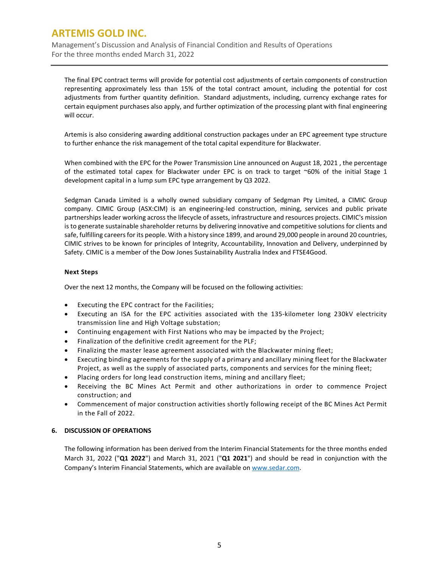Management's Discussion and Analysis of Financial Condition and Results of Operations For the three months ended March 31, 2022

The final EPC contract terms will provide for potential cost adjustments of certain components of construction representing approximately less than 15% of the total contract amount, including the potential for cost adjustments from further quantity definition. Standard adjustments, including, currency exchange rates for certain equipment purchases also apply, and further optimization of the processing plant with final engineering will occur.

Artemis is also considering awarding additional construction packages under an EPC agreement type structure to further enhance the risk management of the total capital expenditure for Blackwater.

When combined with the EPC for the Power Transmission Line announced on August 18, 2021 , the percentage of the estimated total capex for Blackwater under EPC is on track to target ~60% of the initial Stage 1 development capital in a lump sum EPC type arrangement by Q3 2022.

Sedgman Canada Limited is a wholly owned subsidiary company of Sedgman Pty Limited, a CIMIC Group company. CIMIC Group (ASX:CIM) is an engineering-led construction, mining, services and public private partnerships leader working across the lifecycle of assets, infrastructure and resources projects. CIMIC's mission is to generate sustainable shareholder returns by delivering innovative and competitive solutions for clients and safe, fulfilling careers for its people. With a history since 1899, and around 29,000 people in around 20 countries, CIMIC strives to be known for principles of Integrity, Accountability, Innovation and Delivery, underpinned by Safety. CIMIC is a member of the Dow Jones Sustainability Australia Index and FTSE4Good.

### **Next Steps**

Over the next 12 months, the Company will be focused on the following activities:

- Executing the EPC contract for the Facilities;
- Executing an ISA for the EPC activities associated with the 135-kilometer long 230kV electricity transmission line and High Voltage substation;
- Continuing engagement with First Nations who may be impacted by the Project;
- Finalization of the definitive credit agreement for the PLF;
- Finalizing the master lease agreement associated with the Blackwater mining fleet;
- Executing binding agreements for the supply of a primary and ancillary mining fleet for the Blackwater Project, as well as the supply of associated parts, components and services for the mining fleet;
- Placing orders for long lead construction items, mining and ancillary fleet;
- Receiving the BC Mines Act Permit and other authorizations in order to commence Project construction; and
- Commencement of major construction activities shortly following receipt of the BC Mines Act Permit in the Fall of 2022.

### **6. DISCUSSION OF OPERATIONS**

The following information has been derived from the Interim Financial Statements for the three months ended March 31, 2022 ("**Q1 2022**") and March 31, 2021 ("**Q1 2021**") and should be read in conjunction with the Company's Interim Financial Statements, which are available o[n www.sedar.com.](http://www.sedar.com/)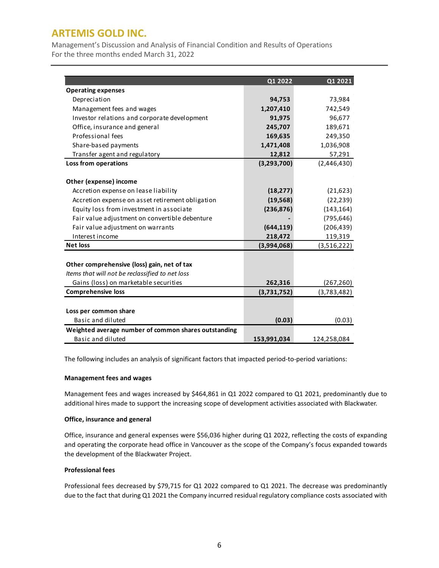Management's Discussion and Analysis of Financial Condition and Results of Operations For the three months ended March 31, 2022

|                                                      | Q1 2022     | Q1 2021     |
|------------------------------------------------------|-------------|-------------|
| <b>Operating expenses</b>                            |             |             |
| Depreciation                                         | 94,753      | 73,984      |
| Management fees and wages                            | 1,207,410   | 742,549     |
| Investor relations and corporate development         | 91,975      | 96,677      |
| Office, insurance and general                        | 245,707     | 189,671     |
| Professional fees                                    | 169,635     | 249,350     |
| Share-based payments                                 | 1,471,408   | 1,036,908   |
| Transfer agent and regulatory                        | 12,812      | 57,291      |
| <b>Loss from operations</b>                          | (3,293,700) | (2,446,430) |
|                                                      |             |             |
| Other (expense) income                               |             |             |
| Accretion expense on lease liability                 | (18, 277)   | (21, 623)   |
| Accretion expense on asset retirement obligation     | (19, 568)   | (22, 239)   |
| Equity loss from investment in associate             | (236, 876)  | (143, 164)  |
| Fair value adjustment on convertible debenture       |             | (795, 646)  |
| Fair value adjustment on warrants                    | (644, 119)  | (206, 439)  |
| Interest income                                      | 218,472     | 119,319     |
| <b>Net loss</b>                                      | (3,994,068) | (3,516,222) |
|                                                      |             |             |
| Other comprehensive (loss) gain, net of tax          |             |             |
| Items that will not be reclassified to net loss      |             |             |
| Gains (loss) on marketable securities                | 262,316     | (267, 260)  |
| <b>Comprehensive loss</b>                            | (3,731,752) | (3,783,482) |
|                                                      |             |             |
| Loss per common share                                |             |             |
| Basic and diluted                                    | (0.03)      | (0.03)      |
| Weighted average number of common shares outstanding |             |             |
| Basic and diluted                                    | 153,991,034 | 124,258,084 |

The following includes an analysis of significant factors that impacted period-to-period variations:

### **Management fees and wages**

Management fees and wages increased by \$464,861 in Q1 2022 compared to Q1 2021, predominantly due to additional hires made to support the increasing scope of development activities associated with Blackwater.

#### **Office, insurance and general**

Office, insurance and general expenses were \$56,036 higher during Q1 2022, reflecting the costs of expanding and operating the corporate head office in Vancouver as the scope of the Company's focus expanded towards the development of the Blackwater Project.

#### **Professional fees**

Professional fees decreased by \$79,715 for Q1 2022 compared to Q1 2021. The decrease was predominantly due to the fact that during Q1 2021 the Company incurred residual regulatory compliance costs associated with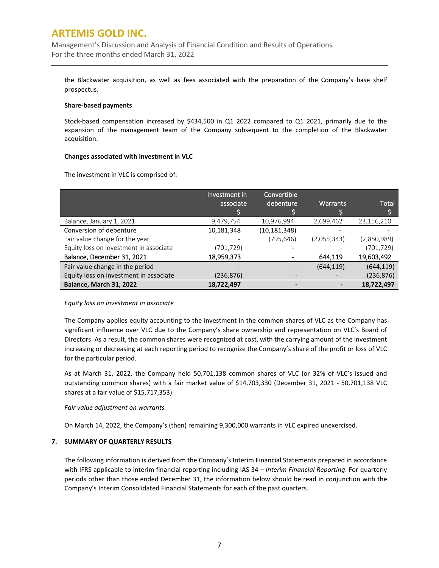Management's Discussion and Analysis of Financial Condition and Results of Operations For the three months ended March 31, 2022

the Blackwater acquisition, as well as fees associated with the preparation of the Company's base shelf prospectus.

#### **Share-based payments**

Stock-based compensation increased by \$434,500 in Q1 2022 compared to Q1 2021, primarily due to the expansion of the management team of the Company subsequent to the completion of the Blackwater acquisition.

#### **Changes associated with investment in VLC**

|                                        | Investment in<br>associate | Convertible<br>debenture. | <b>Warrants</b> | <b>Total</b> |
|----------------------------------------|----------------------------|---------------------------|-----------------|--------------|
| Balance, January 1, 2021               | 9,479,754                  | 10,976,994                | 2,699,462       | 23,156,210   |
| Conversion of debenture                | 10,181,348                 | (10, 181, 348)            |                 |              |
| Fair value change for the year         |                            | (795, 646)                | (2,055,343)     | (2,850,989)  |
| Equity loss on investment in associate | (701,729)                  |                           |                 | (701,729)    |
| Balance, December 31, 2021             | 18,959,373                 |                           | 644,119         | 19,603,492   |
| Fair value change in the period        |                            |                           | (644, 119)      | (644, 119)   |
| Equity loss on investment in associate | (236,876)                  |                           |                 | (236, 876)   |
| Balance, March 31, 2022                | 18,722,497                 |                           |                 | 18,722,497   |

The investment in VLC is comprised of:

### *Equity loss on investment in associate*

The Company applies equity accounting to the investment in the common shares of VLC as the Company has significant influence over VLC due to the Company's share ownership and representation on VLC's Board of Directors. As a result, the common shares were recognized at cost, with the carrying amount of the investment increasing or decreasing at each reporting period to recognize the Company's share of the profit or loss of VLC for the particular period.

As at March 31, 2022, the Company held 50,701,138 common shares of VLC (or 32% of VLC's issued and outstanding common shares) with a fair market value of \$14,703,330 (December 31, 2021 - 50,701,138 VLC shares at a fair value of \$15,717,353).

### *Fair value adjustment on warrants*

On March 14, 2022, the Company's (then) remaining 9,300,000 warrants in VLC expired unexercised.

### **7. SUMMARY OF QUARTERLY RESULTS**

The following information is derived from the Company's Interim Financial Statements prepared in accordance with IFRS applicable to interim financial reporting including IAS 34 – *Interim Financial Reporting*. For quarterly periods other than those ended December 31, the information below should be read in conjunction with the Company's Interim Consolidated Financial Statements for each of the past quarters.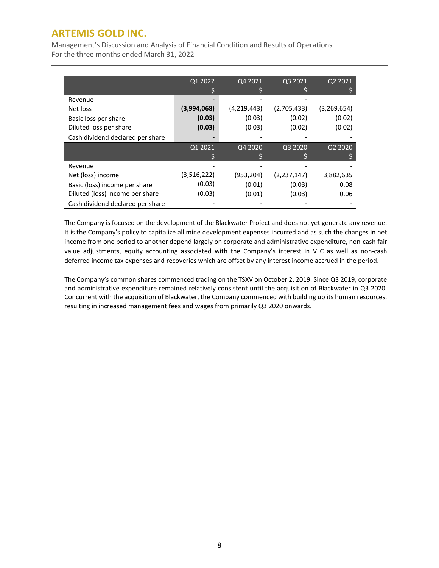Management's Discussion and Analysis of Financial Condition and Results of Operations For the three months ended March 31, 2022

|                                  | Q1 2022     | Q4 2021     | Q3 2021       | Q2 2021       |
|----------------------------------|-------------|-------------|---------------|---------------|
|                                  |             |             |               |               |
| Revenue                          |             |             |               |               |
| Net loss                         | (3,994,068) | (4,219,443) | (2,705,433)   | (3, 269, 654) |
| Basic loss per share             | (0.03)      | (0.03)      | (0.02)        | (0.02)        |
| Diluted loss per share           | (0.03)      | (0.03)      | (0.02)        | (0.02)        |
| Cash dividend declared per share |             |             |               |               |
|                                  | Q1 2021     | Q4 2020     | Q3 2020       | Q2 2020       |
|                                  |             |             |               |               |
| Revenue                          |             |             |               |               |
| Net (loss) income                | (3,516,222) | (953,204)   | (2, 237, 147) | 3,882,635     |
| Basic (loss) income per share    | (0.03)      | (0.01)      | (0.03)        | 0.08          |
| Diluted (loss) income per share  | (0.03)      | (0.01)      | (0.03)        | 0.06          |
| Cash dividend declared per share |             |             |               |               |

The Company is focused on the development of the Blackwater Project and does not yet generate any revenue. It is the Company's policy to capitalize all mine development expenses incurred and as such the changes in net income from one period to another depend largely on corporate and administrative expenditure, non-cash fair value adjustments, equity accounting associated with the Company's interest in VLC as well as non-cash deferred income tax expenses and recoveries which are offset by any interest income accrued in the period.

The Company's common shares commenced trading on the TSXV on October 2, 2019. Since Q3 2019, corporate and administrative expenditure remained relatively consistent until the acquisition of Blackwater in Q3 2020. Concurrent with the acquisition of Blackwater, the Company commenced with building up its human resources, resulting in increased management fees and wages from primarily Q3 2020 onwards.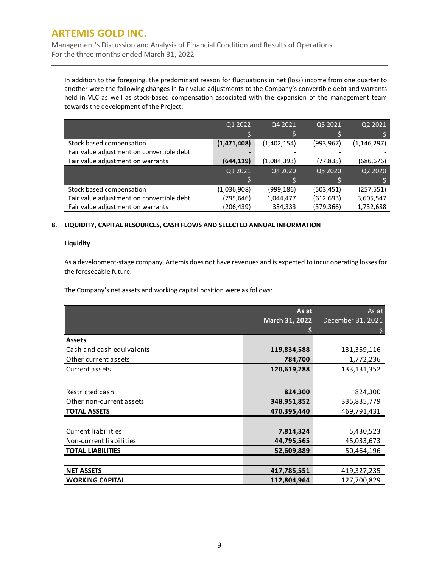Management's Discussion and Analysis of Financial Condition and Results of Operations For the three months ended March 31, 2022

In addition to the foregoing, the predominant reason for fluctuations in net (loss) income from one quarter to another were the following changes in fair value adjustments to the Company's convertible debt and warrants held in VLC as well as stock-based compensation associated with the expansion of the management team towards the development of the Project:

|                                           | Q1 2022     | Q4 2021     | Q3 2021    | Q2 2021       |
|-------------------------------------------|-------------|-------------|------------|---------------|
|                                           |             |             |            |               |
| Stock based compensation                  | (1,471,408) | (1,402,154) | (993, 967) | (1, 146, 297) |
| Fair value adjustment on convertible debt |             |             |            |               |
| Fair value adjustment on warrants         | (644, 119)  | (1,084,393) | (77, 835)  | (686,676)     |
|                                           | Q1 2021     | Q4 2020     | Q3 2020    | Q2 2020       |
|                                           |             |             |            |               |
| Stock based compensation                  | (1,036,908) | (999,186)   | (503, 451) | (257, 551)    |
| Fair value adjustment on convertible debt | (795,646)   | 1,044,477   | (612, 693) | 3,605,547     |
| Fair value adjustment on warrants         | (206, 439)  | 384,333     | (379,366)  | 1,732,688     |

### **8. LIQUIDITY, CAPITAL RESOURCES, CASH FLOWS AND SELECTED ANNUAL INFORMATION**

### **Liquidity**

As a development-stage company, Artemis does not have revenues and is expected to incur operating losses for the foreseeable future.

The Company's net assets and working capital position were as follows:

|                           | As at<br>March 31, 2022 | As at<br>December 31, 2021 |
|---------------------------|-------------------------|----------------------------|
| <b>Assets</b>             |                         |                            |
| Cash and cash equivalents | 119,834,588             | 131,359,116                |
| Other current assets      | 784,700                 | 1,772,236                  |
| Current assets            | 120,619,288             | 133,131,352                |
|                           |                         |                            |
| Restricted cash           | 824,300                 | 824,300                    |
| Other non-current assets  | 348,951,852             | 335,835,779                |
| <b>TOTAL ASSETS</b>       | 470,395,440             | 469,791,431                |
|                           |                         |                            |
| Current liabilities       | 7,814,324               | 5,430,523                  |
| Non-current liabilities   | 44,795,565              | 45,033,673                 |
| <b>TOTAL LIABILITIES</b>  | 52,609,889              | 50,464,196                 |
|                           |                         |                            |
| <b>NET ASSETS</b>         | 417,785,551             | 419,327,235                |
| <b>WORKING CAPITAL</b>    | 112,804,964             | 127,700,829                |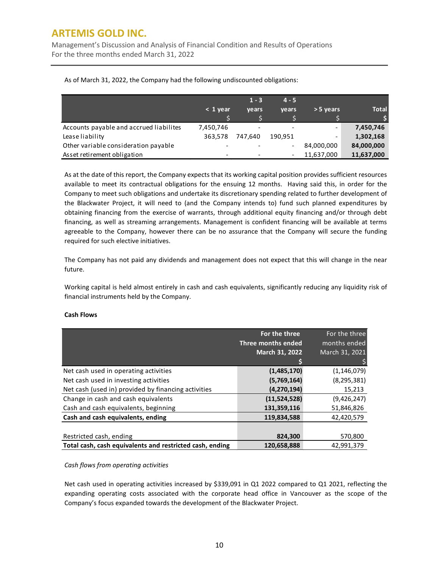Management's Discussion and Analysis of Financial Condition and Results of Operations For the three months ended March 31, 2022

|                                         |                | $1 - 3$ | $4 - 5$ |                          |              |
|-----------------------------------------|----------------|---------|---------|--------------------------|--------------|
|                                         | $\leq 1$ year. | vears   | vears   | $> 5$ years              | <b>Total</b> |
|                                         |                |         |         |                          |              |
| Accounts payable and accrued liabilites | 7,450,746      |         |         |                          | 7,450,746    |
| Lease liability                         | 363.578        | 747.640 | 190.951 | $\overline{\phantom{0}}$ | 1,302,168    |
| Other variable consideration payable    |                |         |         | 84,000,000               | 84,000,000   |
| Asset retirement obligation             |                |         |         | 11,637,000               | 11,637,000   |

As of March 31, 2022, the Company had the following undiscounted obligations:

As at the date of this report, the Company expects that its working capital position provides sufficient resources available to meet its contractual obligations for the ensuing 12 months. Having said this, in order for the Company to meet such obligations and undertake its discretionary spending related to further development of the Blackwater Project, it will need to (and the Company intends to) fund such planned expenditures by obtaining financing from the exercise of warrants, through additional equity financing and/or through debt financing, as well as streaming arrangements. Management is confident financing will be available at terms agreeable to the Company, however there can be no assurance that the Company will secure the funding required for such elective initiatives.

The Company has not paid any dividends and management does not expect that this will change in the near future.

Working capital is held almost entirely in cash and cash equivalents, significantly reducing any liquidity risk of financial instruments held by the Company.

|                                                          | For the three<br>Three months ended | For the three<br>months ended |
|----------------------------------------------------------|-------------------------------------|-------------------------------|
|                                                          | March 31, 2022                      | March 31, 2021                |
|                                                          |                                     |                               |
| Net cash used in operating activities                    | (1,485,170)                         | (1, 146, 079)                 |
| Net cash used in investing activities                    | (5,769,164)                         | (8, 295, 381)                 |
| Net cash (used in) provided by financing activities      | (4,270,194)                         | 15,213                        |
| Change in cash and cash equivalents                      | (11,524,528)                        | (9,426,247)                   |
| Cash and cash equivalents, beginning                     | 131,359,116                         | 51,846,826                    |
| Cash and cash equivalents, ending                        | 119,834,588                         | 42,420,579                    |
|                                                          |                                     |                               |
| Restricted cash, ending                                  | 824,300                             | 570,800                       |
| Total cash, cash equivalents and restricted cash, ending | 120.658.888                         | 42.991.379                    |

### **Cash Flows**

### *Cash flows from operating activities*

Net cash used in operating activities increased by \$339,091 in Q1 2022 compared to Q1 2021, reflecting the expanding operating costs associated with the corporate head office in Vancouver as the scope of the Company's focus expanded towards the development of the Blackwater Project.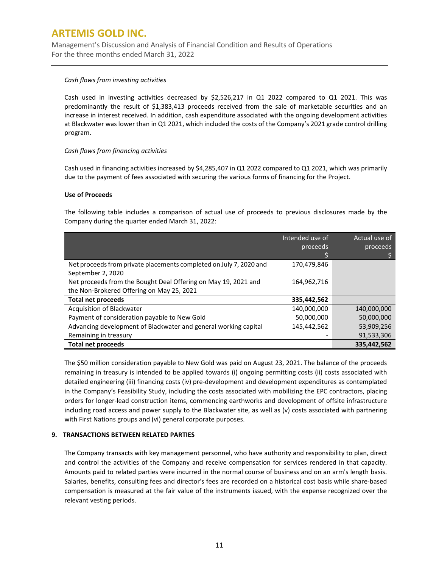Management's Discussion and Analysis of Financial Condition and Results of Operations For the three months ended March 31, 2022

#### *Cash flows from investing activities*

Cash used in investing activities decreased by \$2,526,217 in Q1 2022 compared to Q1 2021. This was predominantly the result of \$1,383,413 proceeds received from the sale of marketable securities and an increase in interest received. In addition, cash expenditure associated with the ongoing development activities at Blackwater was lower than in Q1 2021, which included the costs of the Company's 2021 grade control drilling program.

#### *Cash flows from financing activities*

Cash used in financing activities increased by \$4,285,407 in Q1 2022 compared to Q1 2021, which was primarily due to the payment of fees associated with securing the various forms of financing for the Project.

#### **Use of Proceeds**

The following table includes a comparison of actual use of proceeds to previous disclosures made by the Company during the quarter ended March 31, 2022:

|                                                                                                             | Intended use of<br>proceeds | Actual use of<br>proceeds |
|-------------------------------------------------------------------------------------------------------------|-----------------------------|---------------------------|
| Net proceeds from private placements completed on July 7, 2020 and<br>September 2, 2020                     | 170,479,846                 |                           |
| Net proceeds from the Bought Deal Offering on May 19, 2021 and<br>the Non-Brokered Offering on May 25, 2021 | 164,962,716                 |                           |
| <b>Total net proceeds</b>                                                                                   | 335,442,562                 |                           |
| Acquisition of Blackwater                                                                                   | 140,000,000                 | 140,000,000               |
| Payment of consideration payable to New Gold                                                                | 50,000,000                  | 50,000,000                |
| Advancing development of Blackwater and general working capital                                             | 145,442,562                 | 53,909,256                |
| Remaining in treasury                                                                                       |                             | 91,533,306                |
| <b>Total net proceeds</b>                                                                                   |                             | 335,442,562               |

The \$50 million consideration payable to New Gold was paid on August 23, 2021. The balance of the proceeds remaining in treasury is intended to be applied towards (i) ongoing permitting costs (ii) costs associated with detailed engineering (iii) financing costs (iv) pre-development and development expenditures as contemplated in the Company's Feasibility Study, including the costs associated with mobilizing the EPC contractors, placing orders for longer-lead construction items, commencing earthworks and development of offsite infrastructure including road access and power supply to the Blackwater site, as well as (v) costs associated with partnering with First Nations groups and (vi) general corporate purposes.

### **9. TRANSACTIONS BETWEEN RELATED PARTIES**

The Company transacts with key management personnel, who have authority and responsibility to plan, direct and control the activities of the Company and receive compensation for services rendered in that capacity. Amounts paid to related parties were incurred in the normal course of business and on an arm's length basis. Salaries, benefits, consulting fees and director's fees are recorded on a historical cost basis while share-based compensation is measured at the fair value of the instruments issued, with the expense recognized over the relevant vesting periods.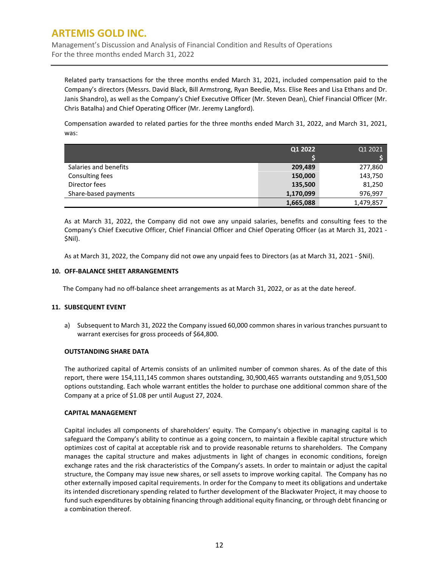Management's Discussion and Analysis of Financial Condition and Results of Operations For the three months ended March 31, 2022

Related party transactions for the three months ended March 31, 2021, included compensation paid to the Company's directors (Messrs. David Black, Bill Armstrong, Ryan Beedie, Mss. Elise Rees and Lisa Ethans and Dr. Janis Shandro), as well as the Company's Chief Executive Officer (Mr. Steven Dean), Chief Financial Officer (Mr. Chris Batalha) and Chief Operating Officer (Mr. Jeremy Langford).

Compensation awarded to related parties for the three months ended March 31, 2022, and March 31, 2021, was:

|                       | Q1 2022   | Q1 2021   |
|-----------------------|-----------|-----------|
|                       |           |           |
| Salaries and benefits | 209,489   | 277,860   |
| Consulting fees       | 150,000   | 143,750   |
| Director fees         | 135,500   | 81,250    |
| Share-based payments  | 1,170,099 | 976,997   |
|                       | 1,665,088 | 1,479,857 |

As at March 31, 2022, the Company did not owe any unpaid salaries, benefits and consulting fees to the Company's Chief Executive Officer, Chief Financial Officer and Chief Operating Officer (as at March 31, 2021 - \$Nil).

As at March 31, 2022, the Company did not owe any unpaid fees to Directors (as at March 31, 2021 - \$Nil).

#### **10. OFF-BALANCE SHEET ARRANGEMENTS**

The Company had no off-balance sheet arrangements as at March 31, 2022, or as at the date hereof.

### **11. SUBSEQUENT EVENT**

a) Subsequent to March 31, 2022 the Company issued 60,000 common shares in various tranches pursuant to warrant exercises for gross proceeds of \$64,800.

#### **OUTSTANDING SHARE DATA**

The authorized capital of Artemis consists of an unlimited number of common shares. As of the date of this report, there were 154,111,145 common shares outstanding, 30,900,465 warrants outstanding and 9,051,500 options outstanding. Each whole warrant entitles the holder to purchase one additional common share of the Company at a price of \$1.08 per until August 27, 2024.

#### **CAPITAL MANAGEMENT**

Capital includes all components of shareholders' equity. The Company's objective in managing capital is to safeguard the Company's ability to continue as a going concern, to maintain a flexible capital structure which optimizes cost of capital at acceptable risk and to provide reasonable returns to shareholders. The Company manages the capital structure and makes adjustments in light of changes in economic conditions, foreign exchange rates and the risk characteristics of the Company's assets. In order to maintain or adjust the capital structure, the Company may issue new shares, or sell assets to improve working capital. The Company has no other externally imposed capital requirements. In order for the Company to meet its obligations and undertake its intended discretionary spending related to further development of the Blackwater Project, it may choose to fund such expenditures by obtaining financing through additional equity financing, or through debt financing or a combination thereof.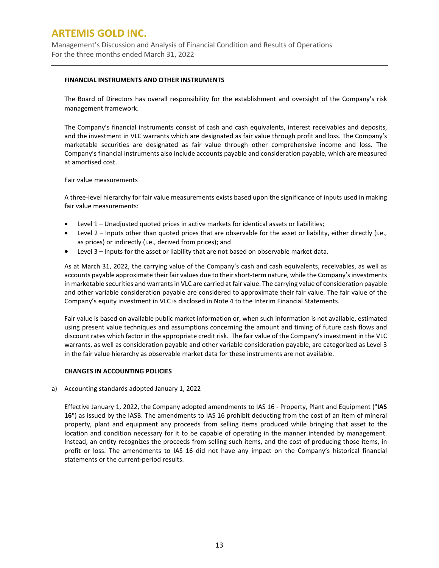Management's Discussion and Analysis of Financial Condition and Results of Operations For the three months ended March 31, 2022

#### **FINANCIAL INSTRUMENTS AND OTHER INSTRUMENTS**

The Board of Directors has overall responsibility for the establishment and oversight of the Company's risk management framework.

The Company's financial instruments consist of cash and cash equivalents, interest receivables and deposits, and the investment in VLC warrants which are designated as fair value through profit and loss. The Company's marketable securities are designated as fair value through other comprehensive income and loss. The Company's financial instruments also include accounts payable and consideration payable, which are measured at amortised cost.

#### Fair value measurements

A three-level hierarchy for fair value measurements exists based upon the significance of inputs used in making fair value measurements:

- Level 1 Unadjusted quoted prices in active markets for identical assets or liabilities;
- Level 2 Inputs other than quoted prices that are observable for the asset or liability, either directly (i.e., as prices) or indirectly (i.e., derived from prices); and
- Level 3 Inputs for the asset or liability that are not based on observable market data.

As at March 31, 2022, the carrying value of the Company's cash and cash equivalents, receivables, as well as accounts payable approximate their fair values due to their short-term nature, while the Company's investments in marketable securities and warrants in VLC are carried at fair value. The carrying value of consideration payable and other variable consideration payable are considered to approximate their fair value. The fair value of the Company's equity investment in VLC is disclosed in Note 4 to the Interim Financial Statements.

Fair value is based on available public market information or, when such information is not available, estimated using present value techniques and assumptions concerning the amount and timing of future cash flows and discount rates which factor in the appropriate credit risk. The fair value of the Company's investment in the VLC warrants, as well as consideration payable and other variable consideration payable, are categorized as Level 3 in the fair value hierarchy as observable market data for these instruments are not available.

### **CHANGES IN ACCOUNTING POLICIES**

a) Accounting standards adopted January 1, 2022

Effective January 1, 2022, the Company adopted amendments to IAS 16 - Property, Plant and Equipment ("**IAS 16**") as issued by the IASB. The amendments to IAS 16 prohibit deducting from the cost of an item of mineral property, plant and equipment any proceeds from selling items produced while bringing that asset to the location and condition necessary for it to be capable of operating in the manner intended by management. Instead, an entity recognizes the proceeds from selling such items, and the cost of producing those items, in profit or loss. The amendments to IAS 16 did not have any impact on the Company's historical financial statements or the current-period results.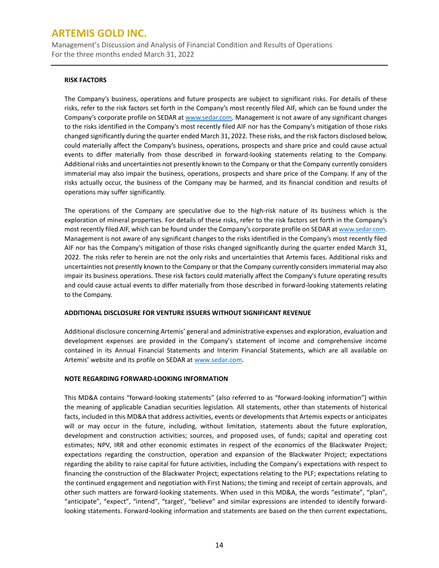Management's Discussion and Analysis of Financial Condition and Results of Operations For the three months ended March 31, 2022

#### **RISK FACTORS**

The Company's business, operations and future prospects are subject to significant risks. For details of these risks, refer to the risk factors set forth in the Company's most recently filed AIF, which can be found under the Company's corporate profile on SEDAR at [www.sedar.com.](http://www.sedar.com/) Management is not aware of any significant changes to the risks identified in the Company's most recently filed AIF nor has the Company's mitigation of those risks changed significantly during the quarter ended March 31, 2022. These risks, and the risk factors disclosed below, could materially affect the Company's business, operations, prospects and share price and could cause actual events to differ materially from those described in forward-looking statements relating to the Company. Additional risks and uncertainties not presently known to the Company or that the Company currently considers immaterial may also impair the business, operations, prospects and share price of the Company. If any of the risks actually occur, the business of the Company may be harmed, and its financial condition and results of operations may suffer significantly.

The operations of the Company are speculative due to the high-risk nature of its business which is the exploration of mineral properties. For details of these risks, refer to the risk factors set forth in the Company's most recently filed AIF, which can be found under the Company's corporate profile on SEDAR a[t www.sedar.com.](http://www.sedar.com/) Management is not aware of any significant changes to the risks identified in the Company's most recently filed AIF nor has the Company's mitigation of those risks changed significantly during the quarter ended March 31, 2022. The risks refer to herein are not the only risks and uncertainties that Artemis faces. Additional risks and uncertainties not presently known to the Company or that the Company currently considers immaterial may also impair its business operations. These risk factors could materially affect the Company's future operating results and could cause actual events to differ materially from those described in forward-looking statements relating to the Company.

### **ADDITIONAL DISCLOSURE FOR VENTURE ISSUERS WITHOUT SIGNIFICANT REVENUE**

Additional disclosure concerning Artemis' general and administrative expenses and exploration, evaluation and development expenses are provided in the Company's statement of income and comprehensive income contained in its Annual Financial Statements and Interim Financial Statements, which are all available on Artemis' website and its profile on SEDAR a[t www.sedar.com.](http://www.sedar.com/)

### **NOTE REGARDING FORWARD-LOOKING INFORMATION**

This MD&A contains "forward-looking statements" (also referred to as "forward-looking information") within the meaning of applicable Canadian securities legislation. All statements, other than statements of historical facts, included in this MD&A that address activities, events or developments that Artemis expects or anticipates will or may occur in the future, including, without limitation, statements about the future exploration, development and construction activities; sources, and proposed uses, of funds; capital and operating cost estimates; NPV, IRR and other economic estimates in respect of the economics of the Blackwater Project; expectations regarding the construction, operation and expansion of the Blackwater Project; expectations regarding the ability to raise capital for future activities, including the Company's expectations with respect to financing the construction of the Blackwater Project; expectations relating to the PLF; expectations relating to the continued engagement and negotiation with First Nations; the timing and receipt of certain approvals*,* and other such matters are forward-looking statements. When used in this MD&A, the words "estimate", "plan", "anticipate", "expect", "intend", "target', "believe" and similar expressions are intended to identify forwardlooking statements. Forward-looking information and statements are based on the then current expectations,